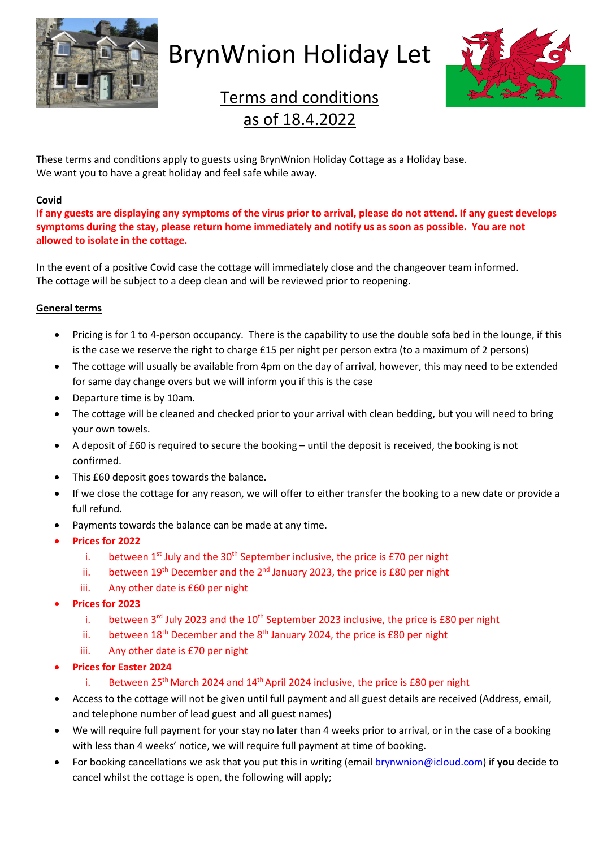

## BrynWnion Holiday Let



## Terms and conditions as of 18.4.2022

These terms and conditions apply to guests using BrynWnion Holiday Cottage as a Holiday base. We want you to have a great holiday and feel safe while away.

## **Covid**

**If any guests are displaying any symptoms of the virus prior to arrival, please do not attend. If any guest develops symptoms during the stay, please return home immediately and notify us as soon as possible. You are not allowed to isolate in the cottage.** 

In the event of a positive Covid case the cottage will immediately close and the changeover team informed. The cottage will be subject to a deep clean and will be reviewed prior to reopening.

## **General terms**

- Pricing is for 1 to 4-person occupancy. There is the capability to use the double sofa bed in the lounge, if this is the case we reserve the right to charge £15 per night per person extra (to a maximum of 2 persons)
- The cottage will usually be available from 4pm on the day of arrival, however, this may need to be extended for same day change overs but we will inform you if this is the case
- Departure time is by 10am.
- The cottage will be cleaned and checked prior to your arrival with clean bedding, but you will need to bring your own towels.
- A deposit of £60 is required to secure the booking until the deposit is received, the booking is not confirmed.
- This £60 deposit goes towards the balance.
- If we close the cottage for any reason, we will offer to either transfer the booking to a new date or provide a full refund.
- Payments towards the balance can be made at any time.
- **Prices for 2022** 
	- i. between  $1^{st}$  July and the  $30^{th}$  September inclusive, the price is £70 per night
	- ii. between  $19<sup>th</sup>$  December and the  $2<sup>nd</sup>$  January 2023, the price is £80 per night
	- iii. Any other date is £60 per night
- **Prices for 2023**
	- i. between  $3<sup>rd</sup>$  July 2023 and the  $10<sup>th</sup>$  September 2023 inclusive, the price is £80 per night
	- ii. between  $18<sup>th</sup>$  December and the  $8<sup>th</sup>$  January 2024, the price is £80 per night
	- iii. Any other date is £70 per night
- **Prices for Easter 2024**
	- i. Between  $25<sup>th</sup>$  March 2024 and  $14<sup>th</sup>$  April 2024 inclusive, the price is £80 per night
- Access to the cottage will not be given until full payment and all guest details are received (Address, email, and telephone number of lead guest and all guest names)
- We will require full payment for your stay no later than 4 weeks prior to arrival, or in the case of a booking with less than 4 weeks' notice, we will require full payment at time of booking.
- For booking cancellations we ask that you put this in writing (email brynwnion@icloud.com) if **you** decide to cancel whilst the cottage is open, the following will apply;